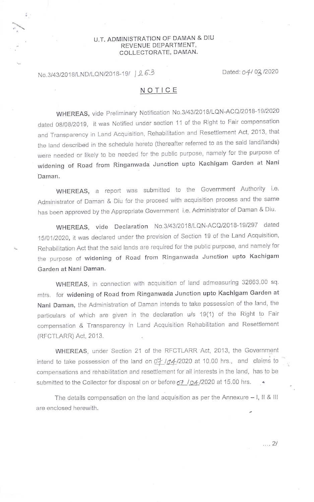## U.T. ADMINISTRATION OF DAMAN & DIU REVENUE DEPARTMENT, COLLECTORATE, DAMAN.

## No.3/43/2018/LND/LQN/2018-19/ 263 Dated: 04/03/2020

 $\frac{2}{9}$  .

## NOTICE

WHEREAS, vide Preliminary Notification No.3/43/2018/LQN-ACQ/2018-19/2020 dated 08/08/2019, it was Notified under section 11 of the Right to Fair compensation and Transparency in Land Acquisition, Rehabilitation and Resettlement Act, 2013, that the land described in the schedule hereto (thereafter referred to as the said land/lands) were needed or likely to be needed for the public purpose, namely for the purpose of widening of Road from Ringanwada Junction upto Kachigam Garden at Nani Daman,

WHEREAS, a report was submitted to the Government Authority i.e. Administrator of Daman & Diu for the proceed with acquisition process and the same has been approved by the Appropriate Government i.e. Administrator of Daman & Diu.

wHEREAS, vide Declaration No.3/43/2018/LQN-ACQ/2018-191297 dated 15/01/2020, it was declared under the provision of Section 19 of the Land Acquisition, Rehabilitation Act that the said lands are required for the public purpose, and namely for the purpose of widening of Road from Ringanwada Junction upto Kachigam Garden at Nani Daman.

wHEREAS, in connection with acquisition of land admeasuring 32663.00 sq. mtrs. for widening of Road from Ringanwada Junction upto Kachigam Garden at Nani Daman, the Administration of Daman intends to take possession of the land, the particulars of which are given in the declaration u/s 19(1) of the Right to Fair compensation & Transparency in Land Acquisition Rehabilitation and Resettlement (RFCTLARR) Act, 2013.

WHEREAS, under Section 21 of the RFCTLARR Act, 2013, the Government intend to take possession of the land on  $\frac{D_f}{D_f}$  10.00 at 10.00 hrs., and claims to compensations and rehabilitation and resettlement for all interests in the land, has to be submitted to the Collector for disposal on or before  $\sigma$   $\neq$  / $\sigma$ 4./2020 at 15.00 hrs.

The details compensation on the land acquisition as per the Annexure  $-1$ , II & III are enclosed herewith.

 $\ldots$  2/